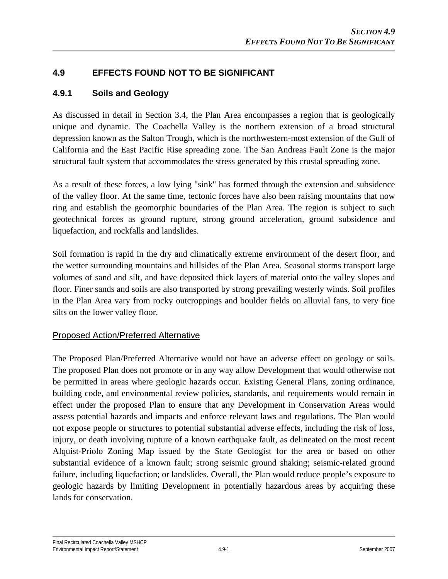# **4.9 EFFECTS FOUND NOT TO BE SIGNIFICANT**

# **4.9.1 Soils and Geology**

As discussed in detail in Section 3.4, the Plan Area encompasses a region that is geologically unique and dynamic. The Coachella Valley is the northern extension of a broad structural depression known as the Salton Trough, which is the northwestern-most extension of the Gulf of California and the East Pacific Rise spreading zone. The San Andreas Fault Zone is the major structural fault system that accommodates the stress generated by this crustal spreading zone.

As a result of these forces, a low lying "sink" has formed through the extension and subsidence of the valley floor. At the same time, tectonic forces have also been raising mountains that now ring and establish the geomorphic boundaries of the Plan Area. The region is subject to such geotechnical forces as ground rupture, strong ground acceleration, ground subsidence and liquefaction, and rockfalls and landslides.

Soil formation is rapid in the dry and climatically extreme environment of the desert floor, and the wetter surrounding mountains and hillsides of the Plan Area. Seasonal storms transport large volumes of sand and silt, and have deposited thick layers of material onto the valley slopes and floor. Finer sands and soils are also transported by strong prevailing westerly winds. Soil profiles in the Plan Area vary from rocky outcroppings and boulder fields on alluvial fans, to very fine silts on the lower valley floor.

# Proposed Action/Preferred Alternative

The Proposed Plan/Preferred Alternative would not have an adverse effect on geology or soils. The proposed Plan does not promote or in any way allow Development that would otherwise not be permitted in areas where geologic hazards occur. Existing General Plans, zoning ordinance, building code, and environmental review policies, standards, and requirements would remain in effect under the proposed Plan to ensure that any Development in Conservation Areas would assess potential hazards and impacts and enforce relevant laws and regulations. The Plan would not expose people or structures to potential substantial adverse effects, including the risk of loss, injury, or death involving rupture of a known earthquake fault, as delineated on the most recent Alquist-Priolo Zoning Map issued by the State Geologist for the area or based on other substantial evidence of a known fault; strong seismic ground shaking; seismic-related ground failure, including liquefaction; or landslides. Overall, the Plan would reduce people's exposure to geologic hazards by limiting Development in potentially hazardous areas by acquiring these lands for conservation.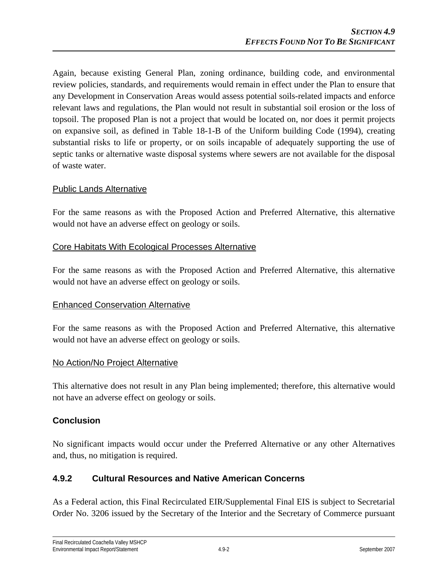Again, because existing General Plan, zoning ordinance, building code, and environmental review policies, standards, and requirements would remain in effect under the Plan to ensure that any Development in Conservation Areas would assess potential soils-related impacts and enforce relevant laws and regulations, the Plan would not result in substantial soil erosion or the loss of topsoil. The proposed Plan is not a project that would be located on, nor does it permit projects on expansive soil, as defined in Table 18-1-B of the Uniform building Code (1994), creating substantial risks to life or property, or on soils incapable of adequately supporting the use of septic tanks or alternative waste disposal systems where sewers are not available for the disposal of waste water.

#### Public Lands Alternative

For the same reasons as with the Proposed Action and Preferred Alternative, this alternative would not have an adverse effect on geology or soils.

#### Core Habitats With Ecological Processes Alternative

For the same reasons as with the Proposed Action and Preferred Alternative, this alternative would not have an adverse effect on geology or soils.

### Enhanced Conservation Alternative

For the same reasons as with the Proposed Action and Preferred Alternative, this alternative would not have an adverse effect on geology or soils.

#### No Action/No Project Alternative

This alternative does not result in any Plan being implemented; therefore, this alternative would not have an adverse effect on geology or soils.

### **Conclusion**

No significant impacts would occur under the Preferred Alternative or any other Alternatives and, thus, no mitigation is required.

### **4.9.2 Cultural Resources and Native American Concerns**

As a Federal action, this Final Recirculated EIR/Supplemental Final EIS is subject to Secretarial Order No. 3206 issued by the Secretary of the Interior and the Secretary of Commerce pursuant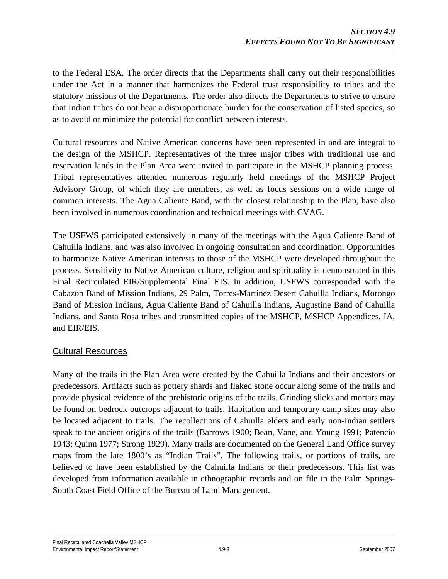to the Federal ESA. The order directs that the Departments shall carry out their responsibilities under the Act in a manner that harmonizes the Federal trust responsibility to tribes and the statutory missions of the Departments. The order also directs the Departments to strive to ensure that Indian tribes do not bear a disproportionate burden for the conservation of listed species, so as to avoid or minimize the potential for conflict between interests.

Cultural resources and Native American concerns have been represented in and are integral to the design of the MSHCP. Representatives of the three major tribes with traditional use and reservation lands in the Plan Area were invited to participate in the MSHCP planning process. Tribal representatives attended numerous regularly held meetings of the MSHCP Project Advisory Group, of which they are members, as well as focus sessions on a wide range of common interests. The Agua Caliente Band, with the closest relationship to the Plan, have also been involved in numerous coordination and technical meetings with CVAG.

The USFWS participated extensively in many of the meetings with the Agua Caliente Band of Cahuilla Indians, and was also involved in ongoing consultation and coordination. Opportunities to harmonize Native American interests to those of the MSHCP were developed throughout the process. Sensitivity to Native American culture, religion and spirituality is demonstrated in this Final Recirculated EIR/Supplemental Final EIS. In addition, USFWS corresponded with the Cabazon Band of Mission Indians, 29 Palm, Torres-Martinez Desert Cahuilla Indians, Morongo Band of Mission Indians, Agua Caliente Band of Cahuilla Indians, Augustine Band of Cahuilla Indians, and Santa Rosa tribes and transmitted copies of the MSHCP, MSHCP Appendices, IA, and EIR/EIS**.** 

### Cultural Resources

Many of the trails in the Plan Area were created by the Cahuilla Indians and their ancestors or predecessors. Artifacts such as pottery shards and flaked stone occur along some of the trails and provide physical evidence of the prehistoric origins of the trails. Grinding slicks and mortars may be found on bedrock outcrops adjacent to trails. Habitation and temporary camp sites may also be located adjacent to trails. The recollections of Cahuilla elders and early non-Indian settlers speak to the ancient origins of the trails (Barrows 1900; Bean, Vane, and Young 1991; Patencio 1943; Quinn 1977; Strong 1929). Many trails are documented on the General Land Office survey maps from the late 1800's as "Indian Trails". The following trails, or portions of trails, are believed to have been established by the Cahuilla Indians or their predecessors. This list was developed from information available in ethnographic records and on file in the Palm Springs-South Coast Field Office of the Bureau of Land Management.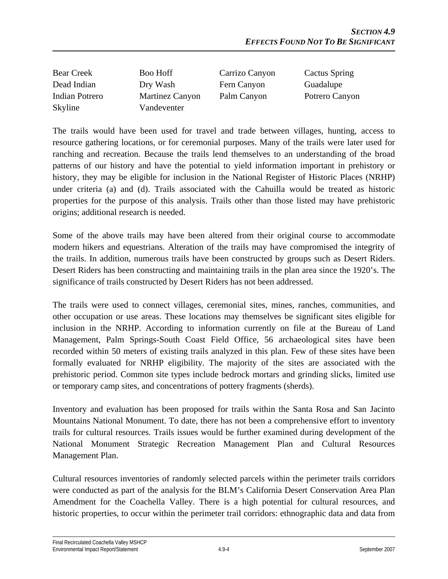| <b>Bear Creek</b> | <b>Boo Hoff</b> | Carrizo Canyon | Cactus Spring  |
|-------------------|-----------------|----------------|----------------|
| Dead Indian       | Dry Wash        | Fern Canyon    | Guadalupe      |
| Indian Potrero    | Martinez Canyon | Palm Canyon    | Potrero Canyon |
| Skyline           | Vandeventer     |                |                |

The trails would have been used for travel and trade between villages, hunting, access to resource gathering locations, or for ceremonial purposes. Many of the trails were later used for ranching and recreation. Because the trails lend themselves to an understanding of the broad patterns of our history and have the potential to yield information important in prehistory or history, they may be eligible for inclusion in the National Register of Historic Places (NRHP) under criteria (a) and (d). Trails associated with the Cahuilla would be treated as historic properties for the purpose of this analysis. Trails other than those listed may have prehistoric origins; additional research is needed.

Some of the above trails may have been altered from their original course to accommodate modern hikers and equestrians. Alteration of the trails may have compromised the integrity of the trails. In addition, numerous trails have been constructed by groups such as Desert Riders. Desert Riders has been constructing and maintaining trails in the plan area since the 1920's. The significance of trails constructed by Desert Riders has not been addressed.

The trails were used to connect villages, ceremonial sites, mines, ranches, communities, and other occupation or use areas. These locations may themselves be significant sites eligible for inclusion in the NRHP. According to information currently on file at the Bureau of Land Management, Palm Springs-South Coast Field Office, 56 archaeological sites have been recorded within 50 meters of existing trails analyzed in this plan. Few of these sites have been formally evaluated for NRHP eligibility. The majority of the sites are associated with the prehistoric period. Common site types include bedrock mortars and grinding slicks, limited use or temporary camp sites, and concentrations of pottery fragments (sherds).

Inventory and evaluation has been proposed for trails within the Santa Rosa and San Jacinto Mountains National Monument. To date, there has not been a comprehensive effort to inventory trails for cultural resources. Trails issues would be further examined during development of the National Monument Strategic Recreation Management Plan and Cultural Resources Management Plan.

Cultural resources inventories of randomly selected parcels within the perimeter trails corridors were conducted as part of the analysis for the BLM's California Desert Conservation Area Plan Amendment for the Coachella Valley. There is a high potential for cultural resources, and historic properties, to occur within the perimeter trail corridors: ethnographic data and data from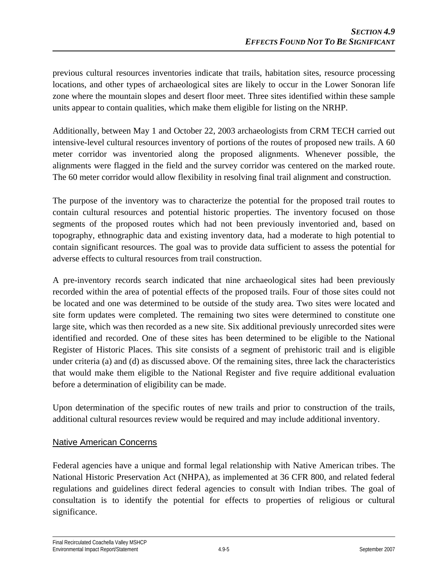previous cultural resources inventories indicate that trails, habitation sites, resource processing locations, and other types of archaeological sites are likely to occur in the Lower Sonoran life zone where the mountain slopes and desert floor meet. Three sites identified within these sample units appear to contain qualities, which make them eligible for listing on the NRHP.

Additionally, between May 1 and October 22, 2003 archaeologists from CRM TECH carried out intensive-level cultural resources inventory of portions of the routes of proposed new trails. A 60 meter corridor was inventoried along the proposed alignments. Whenever possible, the alignments were flagged in the field and the survey corridor was centered on the marked route. The 60 meter corridor would allow flexibility in resolving final trail alignment and construction.

The purpose of the inventory was to characterize the potential for the proposed trail routes to contain cultural resources and potential historic properties. The inventory focused on those segments of the proposed routes which had not been previously inventoried and, based on topography, ethnographic data and existing inventory data, had a moderate to high potential to contain significant resources. The goal was to provide data sufficient to assess the potential for adverse effects to cultural resources from trail construction.

A pre-inventory records search indicated that nine archaeological sites had been previously recorded within the area of potential effects of the proposed trails. Four of those sites could not be located and one was determined to be outside of the study area. Two sites were located and site form updates were completed. The remaining two sites were determined to constitute one large site, which was then recorded as a new site. Six additional previously unrecorded sites were identified and recorded. One of these sites has been determined to be eligible to the National Register of Historic Places. This site consists of a segment of prehistoric trail and is eligible under criteria (a) and (d) as discussed above. Of the remaining sites, three lack the characteristics that would make them eligible to the National Register and five require additional evaluation before a determination of eligibility can be made.

Upon determination of the specific routes of new trails and prior to construction of the trails, additional cultural resources review would be required and may include additional inventory.

# Native American Concerns

Federal agencies have a unique and formal legal relationship with Native American tribes. The National Historic Preservation Act (NHPA), as implemented at 36 CFR 800, and related federal regulations and guidelines direct federal agencies to consult with Indian tribes. The goal of consultation is to identify the potential for effects to properties of religious or cultural significance.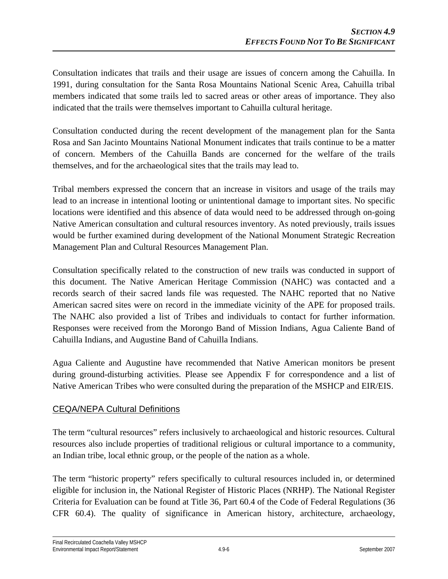Consultation indicates that trails and their usage are issues of concern among the Cahuilla. In 1991, during consultation for the Santa Rosa Mountains National Scenic Area, Cahuilla tribal members indicated that some trails led to sacred areas or other areas of importance. They also indicated that the trails were themselves important to Cahuilla cultural heritage.

Consultation conducted during the recent development of the management plan for the Santa Rosa and San Jacinto Mountains National Monument indicates that trails continue to be a matter of concern. Members of the Cahuilla Bands are concerned for the welfare of the trails themselves, and for the archaeological sites that the trails may lead to.

Tribal members expressed the concern that an increase in visitors and usage of the trails may lead to an increase in intentional looting or unintentional damage to important sites. No specific locations were identified and this absence of data would need to be addressed through on-going Native American consultation and cultural resources inventory. As noted previously, trails issues would be further examined during development of the National Monument Strategic Recreation Management Plan and Cultural Resources Management Plan.

Consultation specifically related to the construction of new trails was conducted in support of this document. The Native American Heritage Commission (NAHC) was contacted and a records search of their sacred lands file was requested. The NAHC reported that no Native American sacred sites were on record in the immediate vicinity of the APE for proposed trails. The NAHC also provided a list of Tribes and individuals to contact for further information. Responses were received from the Morongo Band of Mission Indians, Agua Caliente Band of Cahuilla Indians, and Augustine Band of Cahuilla Indians.

Agua Caliente and Augustine have recommended that Native American monitors be present during ground-disturbing activities. Please see Appendix F for correspondence and a list of Native American Tribes who were consulted during the preparation of the MSHCP and EIR/EIS.

# CEQA/NEPA Cultural Definitions

The term "cultural resources" refers inclusively to archaeological and historic resources. Cultural resources also include properties of traditional religious or cultural importance to a community, an Indian tribe, local ethnic group, or the people of the nation as a whole.

The term "historic property" refers specifically to cultural resources included in, or determined eligible for inclusion in, the National Register of Historic Places (NRHP). The National Register Criteria for Evaluation can be found at Title 36, Part 60.4 of the Code of Federal Regulations (36 CFR 60.4). The quality of significance in American history, architecture, archaeology,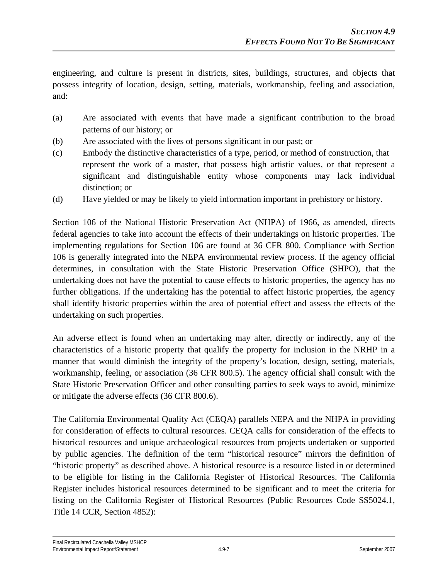engineering, and culture is present in districts, sites, buildings, structures, and objects that possess integrity of location, design, setting, materials, workmanship, feeling and association, and:

- (a) Are associated with events that have made a significant contribution to the broad patterns of our history; or
- (b) Are associated with the lives of persons significant in our past; or
- (c) Embody the distinctive characteristics of a type, period, or method of construction, that represent the work of a master, that possess high artistic values, or that represent a significant and distinguishable entity whose components may lack individual distinction; or
- (d) Have yielded or may be likely to yield information important in prehistory or history.

Section 106 of the National Historic Preservation Act (NHPA) of 1966, as amended, directs federal agencies to take into account the effects of their undertakings on historic properties. The implementing regulations for Section 106 are found at 36 CFR 800. Compliance with Section 106 is generally integrated into the NEPA environmental review process. If the agency official determines, in consultation with the State Historic Preservation Office (SHPO), that the undertaking does not have the potential to cause effects to historic properties, the agency has no further obligations. If the undertaking has the potential to affect historic properties, the agency shall identify historic properties within the area of potential effect and assess the effects of the undertaking on such properties.

An adverse effect is found when an undertaking may alter, directly or indirectly, any of the characteristics of a historic property that qualify the property for inclusion in the NRHP in a manner that would diminish the integrity of the property's location, design, setting, materials, workmanship, feeling, or association (36 CFR 800.5). The agency official shall consult with the State Historic Preservation Officer and other consulting parties to seek ways to avoid, minimize or mitigate the adverse effects (36 CFR 800.6).

The California Environmental Quality Act (CEQA) parallels NEPA and the NHPA in providing for consideration of effects to cultural resources. CEQA calls for consideration of the effects to historical resources and unique archaeological resources from projects undertaken or supported by public agencies. The definition of the term "historical resource" mirrors the definition of "historic property" as described above. A historical resource is a resource listed in or determined to be eligible for listing in the California Register of Historical Resources. The California Register includes historical resources determined to be significant and to meet the criteria for listing on the California Register of Historical Resources (Public Resources Code SS5024.1, Title 14 CCR, Section 4852):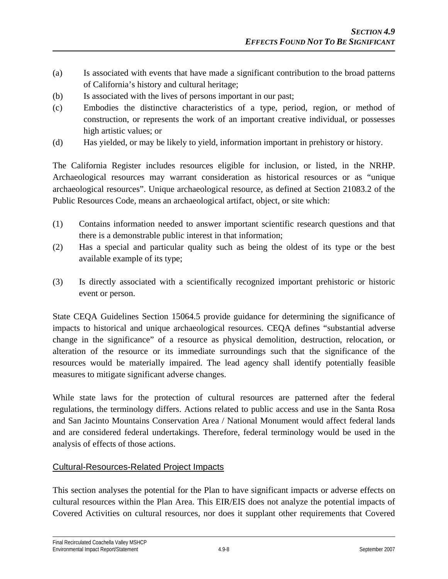- (a) Is associated with events that have made a significant contribution to the broad patterns of California's history and cultural heritage;
- (b) Is associated with the lives of persons important in our past;
- (c) Embodies the distinctive characteristics of a type, period, region, or method of construction, or represents the work of an important creative individual, or possesses high artistic values; or
- (d) Has yielded, or may be likely to yield, information important in prehistory or history.

The California Register includes resources eligible for inclusion, or listed, in the NRHP. Archaeological resources may warrant consideration as historical resources or as "unique archaeological resources". Unique archaeological resource, as defined at Section 21083.2 of the Public Resources Code, means an archaeological artifact, object, or site which:

- (1) Contains information needed to answer important scientific research questions and that there is a demonstrable public interest in that information;
- (2) Has a special and particular quality such as being the oldest of its type or the best available example of its type;
- (3) Is directly associated with a scientifically recognized important prehistoric or historic event or person.

State CEQA Guidelines Section 15064.5 provide guidance for determining the significance of impacts to historical and unique archaeological resources. CEQA defines "substantial adverse change in the significance" of a resource as physical demolition, destruction, relocation, or alteration of the resource or its immediate surroundings such that the significance of the resources would be materially impaired. The lead agency shall identify potentially feasible measures to mitigate significant adverse changes.

While state laws for the protection of cultural resources are patterned after the federal regulations, the terminology differs. Actions related to public access and use in the Santa Rosa and San Jacinto Mountains Conservation Area / National Monument would affect federal lands and are considered federal undertakings. Therefore, federal terminology would be used in the analysis of effects of those actions.

### Cultural-Resources-Related Project Impacts

This section analyses the potential for the Plan to have significant impacts or adverse effects on cultural resources within the Plan Area. This EIR/EIS does not analyze the potential impacts of Covered Activities on cultural resources, nor does it supplant other requirements that Covered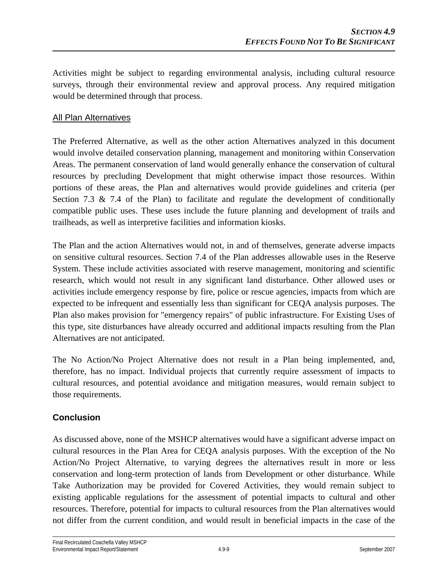Activities might be subject to regarding environmental analysis, including cultural resource surveys, through their environmental review and approval process. Any required mitigation would be determined through that process.

# All Plan Alternatives

The Preferred Alternative, as well as the other action Alternatives analyzed in this document would involve detailed conservation planning, management and monitoring within Conservation Areas. The permanent conservation of land would generally enhance the conservation of cultural resources by precluding Development that might otherwise impact those resources. Within portions of these areas, the Plan and alternatives would provide guidelines and criteria (per Section 7.3  $\&$  7.4 of the Plan) to facilitate and regulate the development of conditionally compatible public uses. These uses include the future planning and development of trails and trailheads, as well as interpretive facilities and information kiosks.

The Plan and the action Alternatives would not, in and of themselves, generate adverse impacts on sensitive cultural resources. Section 7.4 of the Plan addresses allowable uses in the Reserve System. These include activities associated with reserve management, monitoring and scientific research, which would not result in any significant land disturbance. Other allowed uses or activities include emergency response by fire, police or rescue agencies, impacts from which are expected to be infrequent and essentially less than significant for CEQA analysis purposes. The Plan also makes provision for "emergency repairs" of public infrastructure. For Existing Uses of this type, site disturbances have already occurred and additional impacts resulting from the Plan Alternatives are not anticipated.

The No Action/No Project Alternative does not result in a Plan being implemented, and, therefore, has no impact. Individual projects that currently require assessment of impacts to cultural resources, and potential avoidance and mitigation measures, would remain subject to those requirements.

# **Conclusion**

As discussed above, none of the MSHCP alternatives would have a significant adverse impact on cultural resources in the Plan Area for CEQA analysis purposes. With the exception of the No Action/No Project Alternative, to varying degrees the alternatives result in more or less conservation and long-term protection of lands from Development or other disturbance. While Take Authorization may be provided for Covered Activities, they would remain subject to existing applicable regulations for the assessment of potential impacts to cultural and other resources. Therefore, potential for impacts to cultural resources from the Plan alternatives would not differ from the current condition, and would result in beneficial impacts in the case of the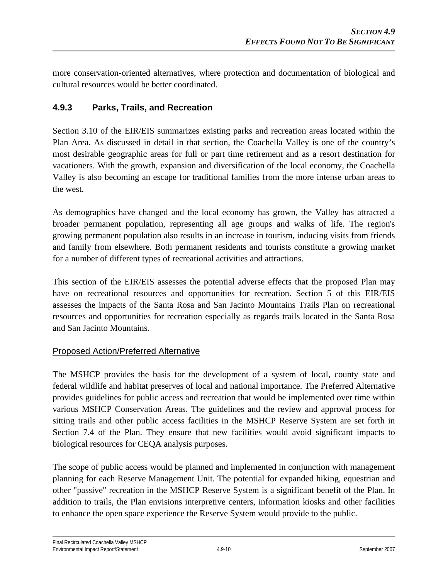more conservation-oriented alternatives, where protection and documentation of biological and cultural resources would be better coordinated.

# **4.9.3 Parks, Trails, and Recreation**

Section 3.10 of the EIR/EIS summarizes existing parks and recreation areas located within the Plan Area. As discussed in detail in that section, the Coachella Valley is one of the country's most desirable geographic areas for full or part time retirement and as a resort destination for vacationers. With the growth, expansion and diversification of the local economy, the Coachella Valley is also becoming an escape for traditional families from the more intense urban areas to the west.

As demographics have changed and the local economy has grown, the Valley has attracted a broader permanent population, representing all age groups and walks of life. The region's growing permanent population also results in an increase in tourism, inducing visits from friends and family from elsewhere. Both permanent residents and tourists constitute a growing market for a number of different types of recreational activities and attractions.

This section of the EIR/EIS assesses the potential adverse effects that the proposed Plan may have on recreational resources and opportunities for recreation. Section 5 of this EIR/EIS assesses the impacts of the Santa Rosa and San Jacinto Mountains Trails Plan on recreational resources and opportunities for recreation especially as regards trails located in the Santa Rosa and San Jacinto Mountains.

### Proposed Action/Preferred Alternative

The MSHCP provides the basis for the development of a system of local, county state and federal wildlife and habitat preserves of local and national importance. The Preferred Alternative provides guidelines for public access and recreation that would be implemented over time within various MSHCP Conservation Areas. The guidelines and the review and approval process for sitting trails and other public access facilities in the MSHCP Reserve System are set forth in Section 7.4 of the Plan. They ensure that new facilities would avoid significant impacts to biological resources for CEQA analysis purposes.

The scope of public access would be planned and implemented in conjunction with management planning for each Reserve Management Unit. The potential for expanded hiking, equestrian and other "passive" recreation in the MSHCP Reserve System is a significant benefit of the Plan. In addition to trails, the Plan envisions interpretive centers, information kiosks and other facilities to enhance the open space experience the Reserve System would provide to the public.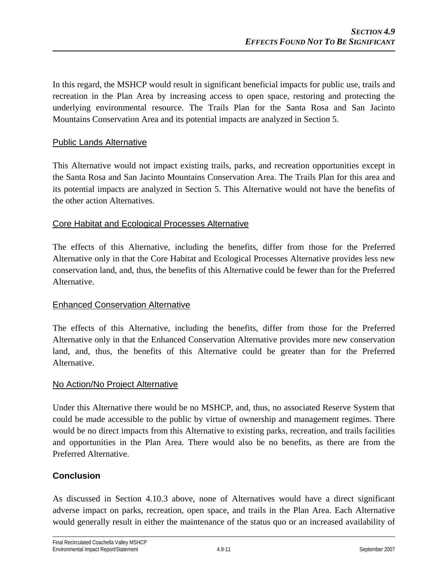In this regard, the MSHCP would result in significant beneficial impacts for public use, trails and recreation in the Plan Area by increasing access to open space, restoring and protecting the underlying environmental resource. The Trails Plan for the Santa Rosa and San Jacinto Mountains Conservation Area and its potential impacts are analyzed in Section 5.

### Public Lands Alternative

This Alternative would not impact existing trails, parks, and recreation opportunities except in the Santa Rosa and San Jacinto Mountains Conservation Area. The Trails Plan for this area and its potential impacts are analyzed in Section 5. This Alternative would not have the benefits of the other action Alternatives.

### Core Habitat and Ecological Processes Alternative

The effects of this Alternative, including the benefits, differ from those for the Preferred Alternative only in that the Core Habitat and Ecological Processes Alternative provides less new conservation land, and, thus, the benefits of this Alternative could be fewer than for the Preferred Alternative.

### Enhanced Conservation Alternative

The effects of this Alternative, including the benefits, differ from those for the Preferred Alternative only in that the Enhanced Conservation Alternative provides more new conservation land, and, thus, the benefits of this Alternative could be greater than for the Preferred Alternative.

### No Action/No Project Alternative

Under this Alternative there would be no MSHCP, and, thus, no associated Reserve System that could be made accessible to the public by virtue of ownership and management regimes. There would be no direct impacts from this Alternative to existing parks, recreation, and trails facilities and opportunities in the Plan Area. There would also be no benefits, as there are from the Preferred Alternative.

### **Conclusion**

As discussed in Section 4.10.3 above, none of Alternatives would have a direct significant adverse impact on parks, recreation, open space, and trails in the Plan Area. Each Alternative would generally result in either the maintenance of the status quo or an increased availability of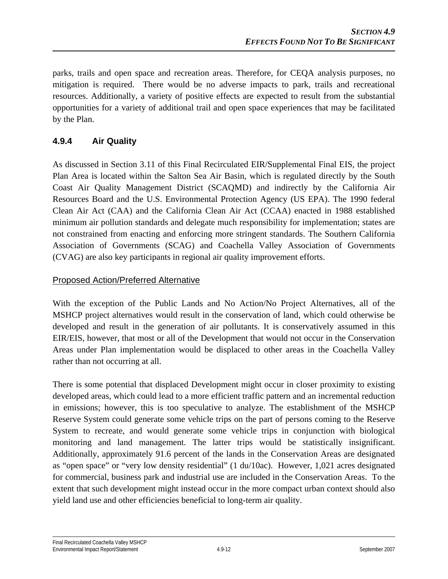parks, trails and open space and recreation areas. Therefore, for CEQA analysis purposes, no mitigation is required. There would be no adverse impacts to park, trails and recreational resources. Additionally, a variety of positive effects are expected to result from the substantial opportunities for a variety of additional trail and open space experiences that may be facilitated by the Plan.

# **4.9.4 Air Quality**

As discussed in Section 3.11 of this Final Recirculated EIR/Supplemental Final EIS, the project Plan Area is located within the Salton Sea Air Basin, which is regulated directly by the South Coast Air Quality Management District (SCAQMD) and indirectly by the California Air Resources Board and the U.S. Environmental Protection Agency (US EPA). The 1990 federal Clean Air Act (CAA) and the California Clean Air Act (CCAA) enacted in 1988 established minimum air pollution standards and delegate much responsibility for implementation; states are not constrained from enacting and enforcing more stringent standards. The Southern California Association of Governments (SCAG) and Coachella Valley Association of Governments (CVAG) are also key participants in regional air quality improvement efforts.

### Proposed Action/Preferred Alternative

With the exception of the Public Lands and No Action/No Project Alternatives, all of the MSHCP project alternatives would result in the conservation of land, which could otherwise be developed and result in the generation of air pollutants. It is conservatively assumed in this EIR/EIS, however, that most or all of the Development that would not occur in the Conservation Areas under Plan implementation would be displaced to other areas in the Coachella Valley rather than not occurring at all.

There is some potential that displaced Development might occur in closer proximity to existing developed areas, which could lead to a more efficient traffic pattern and an incremental reduction in emissions; however, this is too speculative to analyze. The establishment of the MSHCP Reserve System could generate some vehicle trips on the part of persons coming to the Reserve System to recreate, and would generate some vehicle trips in conjunction with biological monitoring and land management. The latter trips would be statistically insignificant. Additionally, approximately 91.6 percent of the lands in the Conservation Areas are designated as "open space" or "very low density residential" (1 du/10ac). However, 1,021 acres designated for commercial, business park and industrial use are included in the Conservation Areas. To the extent that such development might instead occur in the more compact urban context should also yield land use and other efficiencies beneficial to long-term air quality.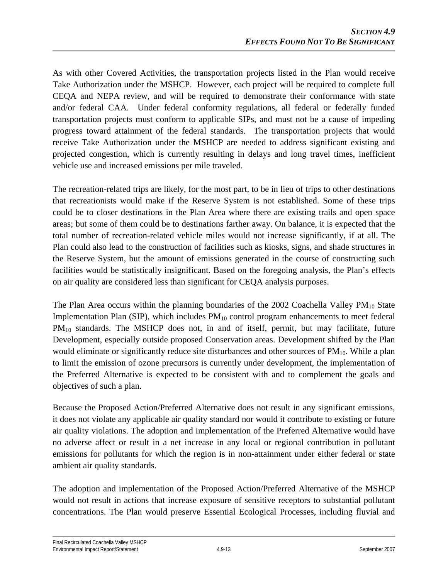As with other Covered Activities, the transportation projects listed in the Plan would receive Take Authorization under the MSHCP. However, each project will be required to complete full CEQA and NEPA review, and will be required to demonstrate their conformance with state and/or federal CAA. Under federal conformity regulations, all federal or federally funded transportation projects must conform to applicable SIPs, and must not be a cause of impeding progress toward attainment of the federal standards. The transportation projects that would receive Take Authorization under the MSHCP are needed to address significant existing and projected congestion, which is currently resulting in delays and long travel times, inefficient vehicle use and increased emissions per mile traveled.

The recreation-related trips are likely, for the most part, to be in lieu of trips to other destinations that recreationists would make if the Reserve System is not established. Some of these trips could be to closer destinations in the Plan Area where there are existing trails and open space areas; but some of them could be to destinations farther away. On balance, it is expected that the total number of recreation-related vehicle miles would not increase significantly, if at all. The Plan could also lead to the construction of facilities such as kiosks, signs, and shade structures in the Reserve System, but the amount of emissions generated in the course of constructing such facilities would be statistically insignificant. Based on the foregoing analysis, the Plan's effects on air quality are considered less than significant for CEQA analysis purposes.

The Plan Area occurs within the planning boundaries of the 2002 Coachella Valley  $PM_{10}$  State Implementation Plan (SIP), which includes  $PM_{10}$  control program enhancements to meet federal PM<sub>10</sub> standards. The MSHCP does not, in and of itself, permit, but may facilitate, future Development, especially outside proposed Conservation areas. Development shifted by the Plan would eliminate or significantly reduce site disturbances and other sources of  $PM<sub>10</sub>$ . While a plan to limit the emission of ozone precursors is currently under development, the implementation of the Preferred Alternative is expected to be consistent with and to complement the goals and objectives of such a plan.

Because the Proposed Action/Preferred Alternative does not result in any significant emissions, it does not violate any applicable air quality standard nor would it contribute to existing or future air quality violations. The adoption and implementation of the Preferred Alternative would have no adverse affect or result in a net increase in any local or regional contribution in pollutant emissions for pollutants for which the region is in non-attainment under either federal or state ambient air quality standards.

The adoption and implementation of the Proposed Action/Preferred Alternative of the MSHCP would not result in actions that increase exposure of sensitive receptors to substantial pollutant concentrations. The Plan would preserve Essential Ecological Processes, including fluvial and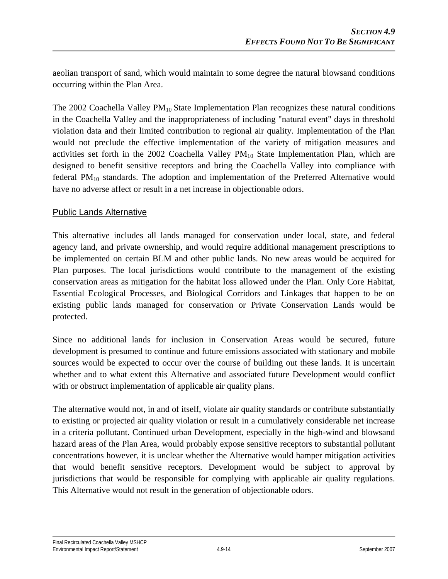aeolian transport of sand, which would maintain to some degree the natural blowsand conditions occurring within the Plan Area.

The 2002 Coachella Valley  $PM_{10}$  State Implementation Plan recognizes these natural conditions in the Coachella Valley and the inappropriateness of including "natural event" days in threshold violation data and their limited contribution to regional air quality. Implementation of the Plan would not preclude the effective implementation of the variety of mitigation measures and activities set forth in the 2002 Coachella Valley  $PM_{10}$  State Implementation Plan, which are designed to benefit sensitive receptors and bring the Coachella Valley into compliance with federal PM<sub>10</sub> standards. The adoption and implementation of the Preferred Alternative would have no adverse affect or result in a net increase in objectionable odors.

### Public Lands Alternative

This alternative includes all lands managed for conservation under local, state, and federal agency land, and private ownership, and would require additional management prescriptions to be implemented on certain BLM and other public lands. No new areas would be acquired for Plan purposes. The local jurisdictions would contribute to the management of the existing conservation areas as mitigation for the habitat loss allowed under the Plan. Only Core Habitat, Essential Ecological Processes, and Biological Corridors and Linkages that happen to be on existing public lands managed for conservation or Private Conservation Lands would be protected.

Since no additional lands for inclusion in Conservation Areas would be secured, future development is presumed to continue and future emissions associated with stationary and mobile sources would be expected to occur over the course of building out these lands. It is uncertain whether and to what extent this Alternative and associated future Development would conflict with or obstruct implementation of applicable air quality plans.

The alternative would not, in and of itself, violate air quality standards or contribute substantially to existing or projected air quality violation or result in a cumulatively considerable net increase in a criteria pollutant. Continued urban Development, especially in the high-wind and blowsand hazard areas of the Plan Area, would probably expose sensitive receptors to substantial pollutant concentrations however, it is unclear whether the Alternative would hamper mitigation activities that would benefit sensitive receptors. Development would be subject to approval by jurisdictions that would be responsible for complying with applicable air quality regulations. This Alternative would not result in the generation of objectionable odors.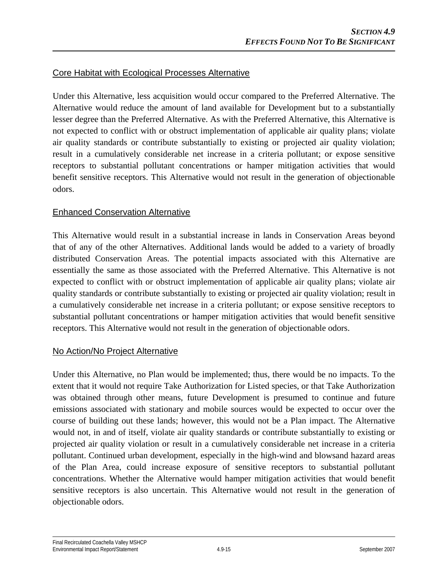### Core Habitat with Ecological Processes Alternative

Under this Alternative, less acquisition would occur compared to the Preferred Alternative. The Alternative would reduce the amount of land available for Development but to a substantially lesser degree than the Preferred Alternative. As with the Preferred Alternative, this Alternative is not expected to conflict with or obstruct implementation of applicable air quality plans; violate air quality standards or contribute substantially to existing or projected air quality violation; result in a cumulatively considerable net increase in a criteria pollutant; or expose sensitive receptors to substantial pollutant concentrations or hamper mitigation activities that would benefit sensitive receptors. This Alternative would not result in the generation of objectionable odors.

#### Enhanced Conservation Alternative

This Alternative would result in a substantial increase in lands in Conservation Areas beyond that of any of the other Alternatives. Additional lands would be added to a variety of broadly distributed Conservation Areas. The potential impacts associated with this Alternative are essentially the same as those associated with the Preferred Alternative. This Alternative is not expected to conflict with or obstruct implementation of applicable air quality plans; violate air quality standards or contribute substantially to existing or projected air quality violation; result in a cumulatively considerable net increase in a criteria pollutant; or expose sensitive receptors to substantial pollutant concentrations or hamper mitigation activities that would benefit sensitive receptors. This Alternative would not result in the generation of objectionable odors.

#### No Action/No Project Alternative

Under this Alternative, no Plan would be implemented; thus, there would be no impacts. To the extent that it would not require Take Authorization for Listed species, or that Take Authorization was obtained through other means, future Development is presumed to continue and future emissions associated with stationary and mobile sources would be expected to occur over the course of building out these lands; however, this would not be a Plan impact. The Alternative would not, in and of itself, violate air quality standards or contribute substantially to existing or projected air quality violation or result in a cumulatively considerable net increase in a criteria pollutant. Continued urban development, especially in the high-wind and blowsand hazard areas of the Plan Area, could increase exposure of sensitive receptors to substantial pollutant concentrations. Whether the Alternative would hamper mitigation activities that would benefit sensitive receptors is also uncertain. This Alternative would not result in the generation of objectionable odors.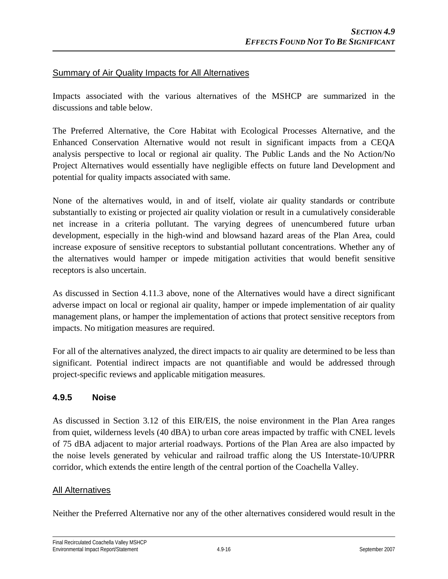### Summary of Air Quality Impacts for All Alternatives

Impacts associated with the various alternatives of the MSHCP are summarized in the discussions and table below.

The Preferred Alternative, the Core Habitat with Ecological Processes Alternative, and the Enhanced Conservation Alternative would not result in significant impacts from a CEQA analysis perspective to local or regional air quality. The Public Lands and the No Action/No Project Alternatives would essentially have negligible effects on future land Development and potential for quality impacts associated with same.

None of the alternatives would, in and of itself, violate air quality standards or contribute substantially to existing or projected air quality violation or result in a cumulatively considerable net increase in a criteria pollutant. The varying degrees of unencumbered future urban development, especially in the high-wind and blowsand hazard areas of the Plan Area, could increase exposure of sensitive receptors to substantial pollutant concentrations. Whether any of the alternatives would hamper or impede mitigation activities that would benefit sensitive receptors is also uncertain.

As discussed in Section 4.11.3 above, none of the Alternatives would have a direct significant adverse impact on local or regional air quality, hamper or impede implementation of air quality management plans, or hamper the implementation of actions that protect sensitive receptors from impacts. No mitigation measures are required.

For all of the alternatives analyzed, the direct impacts to air quality are determined to be less than significant. Potential indirect impacts are not quantifiable and would be addressed through project-specific reviews and applicable mitigation measures.

### **4.9.5 Noise**

As discussed in Section 3.12 of this EIR/EIS, the noise environment in the Plan Area ranges from quiet, wilderness levels (40 dBA) to urban core areas impacted by traffic with CNEL levels of 75 dBA adjacent to major arterial roadways. Portions of the Plan Area are also impacted by the noise levels generated by vehicular and railroad traffic along the US Interstate-10/UPRR corridor, which extends the entire length of the central portion of the Coachella Valley.

### All Alternatives

Neither the Preferred Alternative nor any of the other alternatives considered would result in the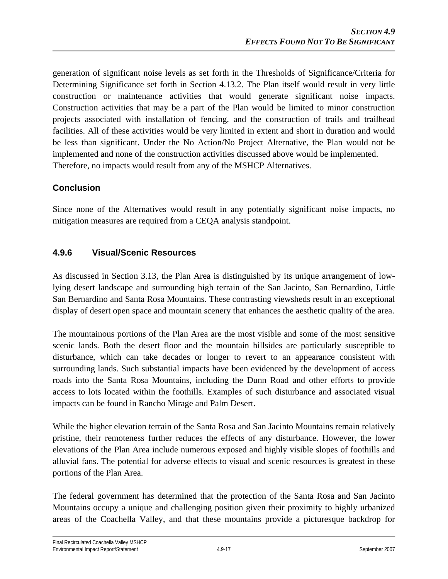generation of significant noise levels as set forth in the Thresholds of Significance/Criteria for Determining Significance set forth in Section 4.13.2. The Plan itself would result in very little construction or maintenance activities that would generate significant noise impacts. Construction activities that may be a part of the Plan would be limited to minor construction projects associated with installation of fencing, and the construction of trails and trailhead facilities. All of these activities would be very limited in extent and short in duration and would be less than significant. Under the No Action/No Project Alternative, the Plan would not be implemented and none of the construction activities discussed above would be implemented. Therefore, no impacts would result from any of the MSHCP Alternatives.

# **Conclusion**

Since none of the Alternatives would result in any potentially significant noise impacts, no mitigation measures are required from a CEQA analysis standpoint.

# **4.9.6 Visual/Scenic Resources**

As discussed in Section 3.13, the Plan Area is distinguished by its unique arrangement of lowlying desert landscape and surrounding high terrain of the San Jacinto, San Bernardino, Little San Bernardino and Santa Rosa Mountains. These contrasting viewsheds result in an exceptional display of desert open space and mountain scenery that enhances the aesthetic quality of the area.

The mountainous portions of the Plan Area are the most visible and some of the most sensitive scenic lands. Both the desert floor and the mountain hillsides are particularly susceptible to disturbance, which can take decades or longer to revert to an appearance consistent with surrounding lands. Such substantial impacts have been evidenced by the development of access roads into the Santa Rosa Mountains, including the Dunn Road and other efforts to provide access to lots located within the foothills. Examples of such disturbance and associated visual impacts can be found in Rancho Mirage and Palm Desert.

While the higher elevation terrain of the Santa Rosa and San Jacinto Mountains remain relatively pristine, their remoteness further reduces the effects of any disturbance. However, the lower elevations of the Plan Area include numerous exposed and highly visible slopes of foothills and alluvial fans. The potential for adverse effects to visual and scenic resources is greatest in these portions of the Plan Area.

The federal government has determined that the protection of the Santa Rosa and San Jacinto Mountains occupy a unique and challenging position given their proximity to highly urbanized areas of the Coachella Valley, and that these mountains provide a picturesque backdrop for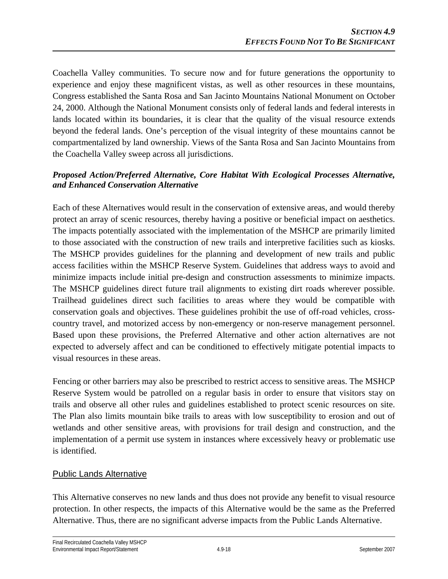Coachella Valley communities. To secure now and for future generations the opportunity to experience and enjoy these magnificent vistas, as well as other resources in these mountains, Congress established the Santa Rosa and San Jacinto Mountains National Monument on October 24, 2000. Although the National Monument consists only of federal lands and federal interests in lands located within its boundaries, it is clear that the quality of the visual resource extends beyond the federal lands. One's perception of the visual integrity of these mountains cannot be compartmentalized by land ownership. Views of the Santa Rosa and San Jacinto Mountains from the Coachella Valley sweep across all jurisdictions.

### *Proposed Action/Preferred Alternative, Core Habitat With Ecological Processes Alternative, and Enhanced Conservation Alternative*

Each of these Alternatives would result in the conservation of extensive areas, and would thereby protect an array of scenic resources, thereby having a positive or beneficial impact on aesthetics. The impacts potentially associated with the implementation of the MSHCP are primarily limited to those associated with the construction of new trails and interpretive facilities such as kiosks. The MSHCP provides guidelines for the planning and development of new trails and public access facilities within the MSHCP Reserve System. Guidelines that address ways to avoid and minimize impacts include initial pre-design and construction assessments to minimize impacts. The MSHCP guidelines direct future trail alignments to existing dirt roads wherever possible. Trailhead guidelines direct such facilities to areas where they would be compatible with conservation goals and objectives. These guidelines prohibit the use of off-road vehicles, crosscountry travel, and motorized access by non-emergency or non-reserve management personnel. Based upon these provisions, the Preferred Alternative and other action alternatives are not expected to adversely affect and can be conditioned to effectively mitigate potential impacts to visual resources in these areas.

Fencing or other barriers may also be prescribed to restrict access to sensitive areas. The MSHCP Reserve System would be patrolled on a regular basis in order to ensure that visitors stay on trails and observe all other rules and guidelines established to protect scenic resources on site. The Plan also limits mountain bike trails to areas with low susceptibility to erosion and out of wetlands and other sensitive areas, with provisions for trail design and construction, and the implementation of a permit use system in instances where excessively heavy or problematic use is identified.

### Public Lands Alternative

This Alternative conserves no new lands and thus does not provide any benefit to visual resource protection. In other respects, the impacts of this Alternative would be the same as the Preferred Alternative. Thus, there are no significant adverse impacts from the Public Lands Alternative.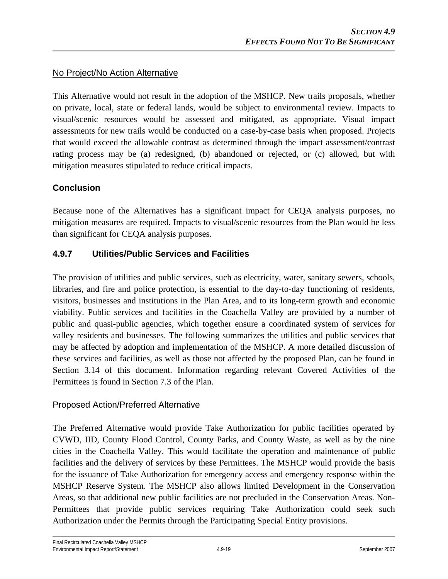### No Project/No Action Alternative

This Alternative would not result in the adoption of the MSHCP. New trails proposals, whether on private, local, state or federal lands, would be subject to environmental review. Impacts to visual/scenic resources would be assessed and mitigated, as appropriate. Visual impact assessments for new trails would be conducted on a case-by-case basis when proposed. Projects that would exceed the allowable contrast as determined through the impact assessment/contrast rating process may be (a) redesigned, (b) abandoned or rejected, or (c) allowed, but with mitigation measures stipulated to reduce critical impacts.

### **Conclusion**

Because none of the Alternatives has a significant impact for CEQA analysis purposes, no mitigation measures are required. Impacts to visual/scenic resources from the Plan would be less than significant for CEQA analysis purposes.

### **4.9.7 Utilities/Public Services and Facilities**

The provision of utilities and public services, such as electricity, water, sanitary sewers, schools, libraries, and fire and police protection, is essential to the day-to-day functioning of residents, visitors, businesses and institutions in the Plan Area, and to its long-term growth and economic viability. Public services and facilities in the Coachella Valley are provided by a number of public and quasi-public agencies, which together ensure a coordinated system of services for valley residents and businesses. The following summarizes the utilities and public services that may be affected by adoption and implementation of the MSHCP. A more detailed discussion of these services and facilities, as well as those not affected by the proposed Plan, can be found in Section 3.14 of this document. Information regarding relevant Covered Activities of the Permittees is found in Section 7.3 of the Plan.

### Proposed Action/Preferred Alternative

The Preferred Alternative would provide Take Authorization for public facilities operated by CVWD, IID, County Flood Control, County Parks, and County Waste, as well as by the nine cities in the Coachella Valley. This would facilitate the operation and maintenance of public facilities and the delivery of services by these Permittees. The MSHCP would provide the basis for the issuance of Take Authorization for emergency access and emergency response within the MSHCP Reserve System. The MSHCP also allows limited Development in the Conservation Areas, so that additional new public facilities are not precluded in the Conservation Areas. Non-Permittees that provide public services requiring Take Authorization could seek such Authorization under the Permits through the Participating Special Entity provisions.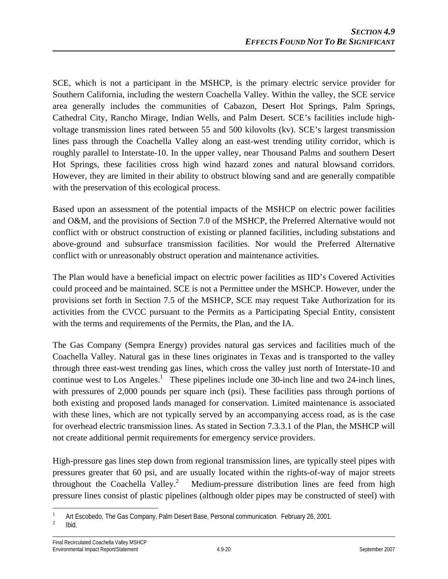SCE, which is not a participant in the MSHCP, is the primary electric service provider for Southern California, including the western Coachella Valley. Within the valley, the SCE service area generally includes the communities of Cabazon, Desert Hot Springs, Palm Springs, Cathedral City, Rancho Mirage, Indian Wells, and Palm Desert. SCE's facilities include highvoltage transmission lines rated between 55 and 500 kilovolts (kv). SCE's largest transmission lines pass through the Coachella Valley along an east-west trending utility corridor, which is roughly parallel to Interstate-10. In the upper valley, near Thousand Palms and southern Desert Hot Springs, these facilities cross high wind hazard zones and natural blowsand corridors. However, they are limited in their ability to obstruct blowing sand and are generally compatible with the preservation of this ecological process.

Based upon an assessment of the potential impacts of the MSHCP on electric power facilities and O&M, and the provisions of Section 7.0 of the MSHCP, the Preferred Alternative would not conflict with or obstruct construction of existing or planned facilities, including substations and above-ground and subsurface transmission facilities. Nor would the Preferred Alternative conflict with or unreasonably obstruct operation and maintenance activities.

The Plan would have a beneficial impact on electric power facilities as IID's Covered Activities could proceed and be maintained. SCE is not a Permittee under the MSHCP. However, under the provisions set forth in Section 7.5 of the MSHCP, SCE may request Take Authorization for its activities from the CVCC pursuant to the Permits as a Participating Special Entity, consistent with the terms and requirements of the Permits, the Plan, and the IA.

The Gas Company (Sempra Energy) provides natural gas services and facilities much of the Coachella Valley. Natural gas in these lines originates in Texas and is transported to the valley through three east-west trending gas lines, which cross the valley just north of Interstate-10 and continue west to Los Angeles.<sup>1</sup> These pipelines include one 30-inch line and two 24-inch lines, with pressures of 2,000 pounds per square inch (psi). These facilities pass through portions of both existing and proposed lands managed for conservation. Limited maintenance is associated with these lines, which are not typically served by an accompanying access road, as is the case for overhead electric transmission lines. As stated in Section 7.3.3.1 of the Plan, the MSHCP will not create additional permit requirements for emergency service providers.

High-pressure gas lines step down from regional transmission lines, are typically steel pipes with pressures greater that 60 psi, and are usually located within the rights-of-way of major streets throughout the Coachella Valley.<sup>2</sup> Medium-pressure distribution lines are feed from high pressure lines consist of plastic pipelines (although older pipes may be constructed of steel) with

1 1 Art Escobedo, The Gas Company, Palm Desert Base, Personal communication. February 26, 2001.

Ibid.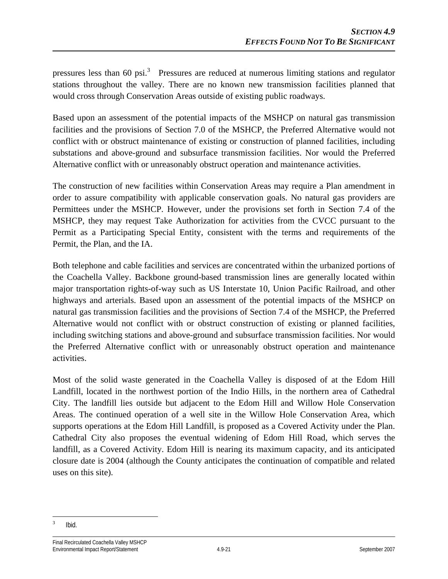pressures less than 60 psi.<sup>3</sup> Pressures are reduced at numerous limiting stations and regulator stations throughout the valley. There are no known new transmission facilities planned that would cross through Conservation Areas outside of existing public roadways.

Based upon an assessment of the potential impacts of the MSHCP on natural gas transmission facilities and the provisions of Section 7.0 of the MSHCP, the Preferred Alternative would not conflict with or obstruct maintenance of existing or construction of planned facilities, including substations and above-ground and subsurface transmission facilities. Nor would the Preferred Alternative conflict with or unreasonably obstruct operation and maintenance activities.

The construction of new facilities within Conservation Areas may require a Plan amendment in order to assure compatibility with applicable conservation goals. No natural gas providers are Permittees under the MSHCP. However, under the provisions set forth in Section 7.4 of the MSHCP, they may request Take Authorization for activities from the CVCC pursuant to the Permit as a Participating Special Entity, consistent with the terms and requirements of the Permit, the Plan, and the IA.

Both telephone and cable facilities and services are concentrated within the urbanized portions of the Coachella Valley. Backbone ground-based transmission lines are generally located within major transportation rights-of-way such as US Interstate 10, Union Pacific Railroad, and other highways and arterials. Based upon an assessment of the potential impacts of the MSHCP on natural gas transmission facilities and the provisions of Section 7.4 of the MSHCP, the Preferred Alternative would not conflict with or obstruct construction of existing or planned facilities, including switching stations and above-ground and subsurface transmission facilities. Nor would the Preferred Alternative conflict with or unreasonably obstruct operation and maintenance activities.

Most of the solid waste generated in the Coachella Valley is disposed of at the Edom Hill Landfill, located in the northwest portion of the Indio Hills, in the northern area of Cathedral City. The landfill lies outside but adjacent to the Edom Hill and Willow Hole Conservation Areas. The continued operation of a well site in the Willow Hole Conservation Area, which supports operations at the Edom Hill Landfill, is proposed as a Covered Activity under the Plan. Cathedral City also proposes the eventual widening of Edom Hill Road, which serves the landfill, as a Covered Activity. Edom Hill is nearing its maximum capacity, and its anticipated closure date is 2004 (although the County anticipates the continuation of compatible and related uses on this site).

 $\overline{a}$ 3 Ibid.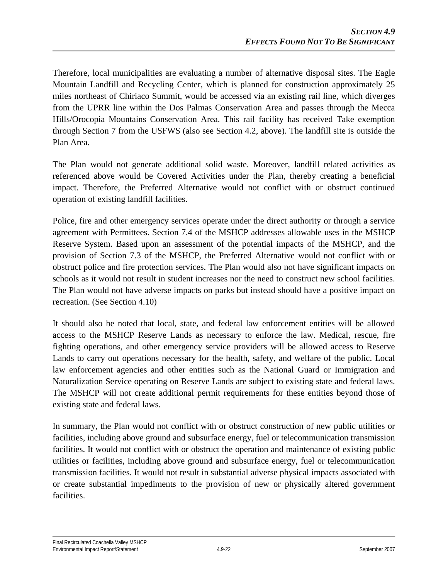Therefore, local municipalities are evaluating a number of alternative disposal sites. The Eagle Mountain Landfill and Recycling Center, which is planned for construction approximately 25 miles northeast of Chiriaco Summit, would be accessed via an existing rail line, which diverges from the UPRR line within the Dos Palmas Conservation Area and passes through the Mecca Hills/Orocopia Mountains Conservation Area. This rail facility has received Take exemption through Section 7 from the USFWS (also see Section 4.2, above). The landfill site is outside the Plan Area.

The Plan would not generate additional solid waste. Moreover, landfill related activities as referenced above would be Covered Activities under the Plan, thereby creating a beneficial impact. Therefore, the Preferred Alternative would not conflict with or obstruct continued operation of existing landfill facilities.

Police, fire and other emergency services operate under the direct authority or through a service agreement with Permittees. Section 7.4 of the MSHCP addresses allowable uses in the MSHCP Reserve System. Based upon an assessment of the potential impacts of the MSHCP, and the provision of Section 7.3 of the MSHCP, the Preferred Alternative would not conflict with or obstruct police and fire protection services. The Plan would also not have significant impacts on schools as it would not result in student increases nor the need to construct new school facilities. The Plan would not have adverse impacts on parks but instead should have a positive impact on recreation. (See Section 4.10)

It should also be noted that local, state, and federal law enforcement entities will be allowed access to the MSHCP Reserve Lands as necessary to enforce the law. Medical, rescue, fire fighting operations, and other emergency service providers will be allowed access to Reserve Lands to carry out operations necessary for the health, safety, and welfare of the public. Local law enforcement agencies and other entities such as the National Guard or Immigration and Naturalization Service operating on Reserve Lands are subject to existing state and federal laws. The MSHCP will not create additional permit requirements for these entities beyond those of existing state and federal laws.

In summary, the Plan would not conflict with or obstruct construction of new public utilities or facilities, including above ground and subsurface energy, fuel or telecommunication transmission facilities. It would not conflict with or obstruct the operation and maintenance of existing public utilities or facilities, including above ground and subsurface energy, fuel or telecommunication transmission facilities. It would not result in substantial adverse physical impacts associated with or create substantial impediments to the provision of new or physically altered government facilities.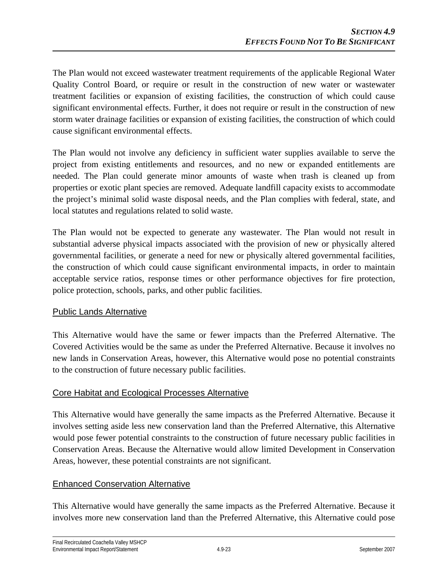The Plan would not exceed wastewater treatment requirements of the applicable Regional Water Quality Control Board, or require or result in the construction of new water or wastewater treatment facilities or expansion of existing facilities, the construction of which could cause significant environmental effects. Further, it does not require or result in the construction of new storm water drainage facilities or expansion of existing facilities, the construction of which could cause significant environmental effects.

The Plan would not involve any deficiency in sufficient water supplies available to serve the project from existing entitlements and resources, and no new or expanded entitlements are needed. The Plan could generate minor amounts of waste when trash is cleaned up from properties or exotic plant species are removed. Adequate landfill capacity exists to accommodate the project's minimal solid waste disposal needs, and the Plan complies with federal, state, and local statutes and regulations related to solid waste.

The Plan would not be expected to generate any wastewater. The Plan would not result in substantial adverse physical impacts associated with the provision of new or physically altered governmental facilities, or generate a need for new or physically altered governmental facilities, the construction of which could cause significant environmental impacts, in order to maintain acceptable service ratios, response times or other performance objectives for fire protection, police protection, schools, parks, and other public facilities.

### Public Lands Alternative

This Alternative would have the same or fewer impacts than the Preferred Alternative. The Covered Activities would be the same as under the Preferred Alternative. Because it involves no new lands in Conservation Areas, however, this Alternative would pose no potential constraints to the construction of future necessary public facilities.

### Core Habitat and Ecological Processes Alternative

This Alternative would have generally the same impacts as the Preferred Alternative. Because it involves setting aside less new conservation land than the Preferred Alternative, this Alternative would pose fewer potential constraints to the construction of future necessary public facilities in Conservation Areas. Because the Alternative would allow limited Development in Conservation Areas, however, these potential constraints are not significant.

### Enhanced Conservation Alternative

This Alternative would have generally the same impacts as the Preferred Alternative. Because it involves more new conservation land than the Preferred Alternative, this Alternative could pose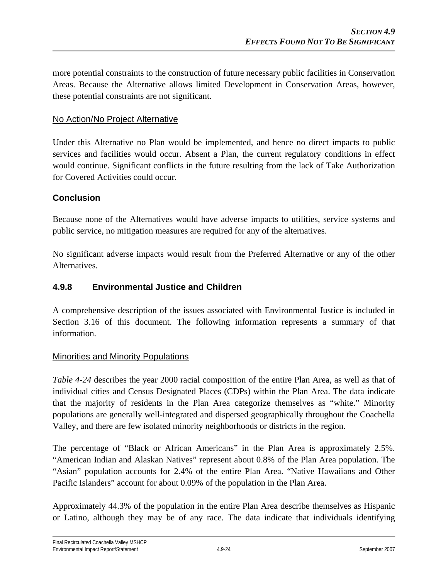more potential constraints to the construction of future necessary public facilities in Conservation Areas. Because the Alternative allows limited Development in Conservation Areas, however, these potential constraints are not significant.

#### No Action/No Project Alternative

Under this Alternative no Plan would be implemented, and hence no direct impacts to public services and facilities would occur. Absent a Plan, the current regulatory conditions in effect would continue. Significant conflicts in the future resulting from the lack of Take Authorization for Covered Activities could occur.

### **Conclusion**

Because none of the Alternatives would have adverse impacts to utilities, service systems and public service, no mitigation measures are required for any of the alternatives.

No significant adverse impacts would result from the Preferred Alternative or any of the other Alternatives.

#### **4.9.8 Environmental Justice and Children**

A comprehensive description of the issues associated with Environmental Justice is included in Section 3.16 of this document. The following information represents a summary of that information.

#### Minorities and Minority Populations

*Table 4-24* describes the year 2000 racial composition of the entire Plan Area, as well as that of individual cities and Census Designated Places (CDPs) within the Plan Area. The data indicate that the majority of residents in the Plan Area categorize themselves as "white." Minority populations are generally well-integrated and dispersed geographically throughout the Coachella Valley, and there are few isolated minority neighborhoods or districts in the region.

The percentage of "Black or African Americans" in the Plan Area is approximately 2.5%. "American Indian and Alaskan Natives" represent about 0.8% of the Plan Area population. The "Asian" population accounts for 2.4% of the entire Plan Area. "Native Hawaiians and Other Pacific Islanders" account for about 0.09% of the population in the Plan Area.

Approximately 44.3% of the population in the entire Plan Area describe themselves as Hispanic or Latino, although they may be of any race. The data indicate that individuals identifying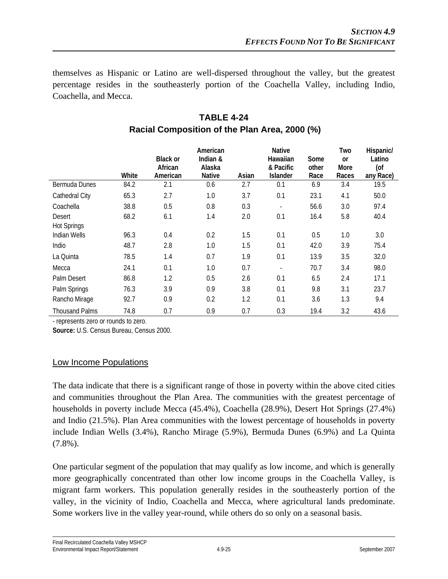themselves as Hispanic or Latino are well-dispersed throughout the valley, but the greatest percentage resides in the southeasterly portion of the Coachella Valley, including Indio, Coachella, and Mecca.

|                       | White | <b>Black or</b><br>African<br>American | American<br>Indian &<br>Alaska<br><b>Native</b> | Asian | <b>Native</b><br>Hawaiian<br>& Pacific<br><b>Islander</b> | Some<br>other<br>Race | Two<br><sub>or</sub><br>More<br>Races | Hispanic/<br>Latino<br>(of<br>any Race) |
|-----------------------|-------|----------------------------------------|-------------------------------------------------|-------|-----------------------------------------------------------|-----------------------|---------------------------------------|-----------------------------------------|
| Bermuda Dunes         | 84.2  | 2.1                                    | 0.6                                             | 2.7   | 0.1                                                       | 6.9                   | 3.4                                   | 19.5                                    |
| Cathedral City        | 65.3  | 2.7                                    | 1.0                                             | 3.7   | 0.1                                                       | 23.1                  | 4.1                                   | 50.0                                    |
| Coachella             | 38.8  | 0.5                                    | 0.8                                             | 0.3   | $\overline{\phantom{a}}$                                  | 56.6                  | 3.0                                   | 97.4                                    |
| Desert                | 68.2  | 6.1                                    | 1.4                                             | 2.0   | 0.1                                                       | 16.4                  | 5.8                                   | 40.4                                    |
| <b>Hot Springs</b>    |       |                                        |                                                 |       |                                                           |                       |                                       |                                         |
| <b>Indian Wells</b>   | 96.3  | 0.4                                    | 0.2                                             | 1.5   | 0.1                                                       | 0.5                   | 1.0                                   | 3.0                                     |
| Indio                 | 48.7  | 2.8                                    | 1.0                                             | 1.5   | 0.1                                                       | 42.0                  | 3.9                                   | 75.4                                    |
| La Quinta             | 78.5  | 1.4                                    | 0.7                                             | 1.9   | 0.1                                                       | 13.9                  | 3.5                                   | 32.0                                    |
| Mecca                 | 24.1  | 0.1                                    | 1.0                                             | 0.7   | $\blacksquare$                                            | 70.7                  | 3.4                                   | 98.0                                    |
| Palm Desert           | 86.8  | 1.2                                    | 0.5                                             | 2.6   | 0.1                                                       | 6.5                   | 2.4                                   | 17.1                                    |
| Palm Springs          | 76.3  | 3.9                                    | 0.9                                             | 3.8   | 0.1                                                       | 9.8                   | 3.1                                   | 23.7                                    |
| Rancho Mirage         | 92.7  | 0.9                                    | 0.2                                             | 1.2   | 0.1                                                       | 3.6                   | 1.3                                   | 9.4                                     |
| <b>Thousand Palms</b> | 74.8  | 0.7                                    | 0.9                                             | 0.7   | 0.3                                                       | 19.4                  | 3.2                                   | 43.6                                    |

# **TABLE 4-24 Racial Composition of the Plan Area, 2000 (%)**

- represents zero or rounds to zero.

**Source:** U.S. Census Bureau, Census 2000.

# Low Income Populations

The data indicate that there is a significant range of those in poverty within the above cited cities and communities throughout the Plan Area. The communities with the greatest percentage of households in poverty include Mecca (45.4%), Coachella (28.9%), Desert Hot Springs (27.4%) and Indio (21.5%). Plan Area communities with the lowest percentage of households in poverty include Indian Wells (3.4%), Rancho Mirage (5.9%), Bermuda Dunes (6.9%) and La Quinta (7.8%).

One particular segment of the population that may qualify as low income, and which is generally more geographically concentrated than other low income groups in the Coachella Valley, is migrant farm workers. This population generally resides in the southeasterly portion of the valley, in the vicinity of Indio, Coachella and Mecca, where agricultural lands predominate. Some workers live in the valley year-round, while others do so only on a seasonal basis.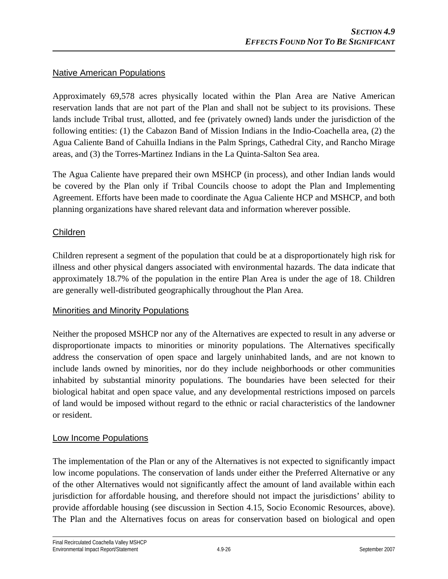### Native American Populations

Approximately 69,578 acres physically located within the Plan Area are Native American reservation lands that are not part of the Plan and shall not be subject to its provisions. These lands include Tribal trust, allotted, and fee (privately owned) lands under the jurisdiction of the following entities: (1) the Cabazon Band of Mission Indians in the Indio-Coachella area, (2) the Agua Caliente Band of Cahuilla Indians in the Palm Springs, Cathedral City, and Rancho Mirage areas, and (3) the Torres-Martinez Indians in the La Quinta-Salton Sea area.

The Agua Caliente have prepared their own MSHCP (in process), and other Indian lands would be covered by the Plan only if Tribal Councils choose to adopt the Plan and Implementing Agreement. Efforts have been made to coordinate the Agua Caliente HCP and MSHCP, and both planning organizations have shared relevant data and information wherever possible.

### Children

Children represent a segment of the population that could be at a disproportionately high risk for illness and other physical dangers associated with environmental hazards. The data indicate that approximately 18.7% of the population in the entire Plan Area is under the age of 18. Children are generally well-distributed geographically throughout the Plan Area.

### Minorities and Minority Populations

Neither the proposed MSHCP nor any of the Alternatives are expected to result in any adverse or disproportionate impacts to minorities or minority populations. The Alternatives specifically address the conservation of open space and largely uninhabited lands, and are not known to include lands owned by minorities, nor do they include neighborhoods or other communities inhabited by substantial minority populations. The boundaries have been selected for their biological habitat and open space value, and any developmental restrictions imposed on parcels of land would be imposed without regard to the ethnic or racial characteristics of the landowner or resident.

### Low Income Populations

The implementation of the Plan or any of the Alternatives is not expected to significantly impact low income populations. The conservation of lands under either the Preferred Alternative or any of the other Alternatives would not significantly affect the amount of land available within each jurisdiction for affordable housing, and therefore should not impact the jurisdictions' ability to provide affordable housing (see discussion in Section 4.15, Socio Economic Resources, above). The Plan and the Alternatives focus on areas for conservation based on biological and open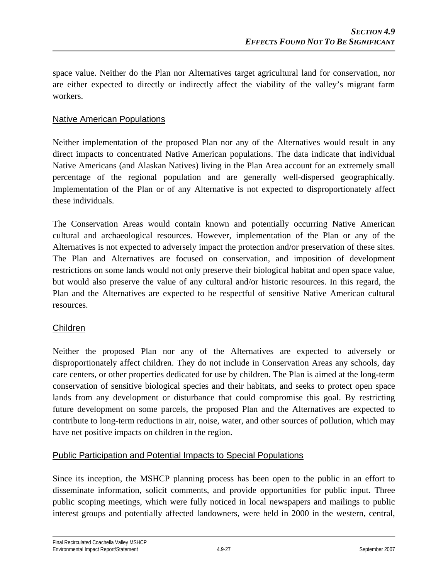space value. Neither do the Plan nor Alternatives target agricultural land for conservation, nor are either expected to directly or indirectly affect the viability of the valley's migrant farm workers.

### Native American Populations

Neither implementation of the proposed Plan nor any of the Alternatives would result in any direct impacts to concentrated Native American populations. The data indicate that individual Native Americans (and Alaskan Natives) living in the Plan Area account for an extremely small percentage of the regional population and are generally well-dispersed geographically. Implementation of the Plan or of any Alternative is not expected to disproportionately affect these individuals.

The Conservation Areas would contain known and potentially occurring Native American cultural and archaeological resources. However, implementation of the Plan or any of the Alternatives is not expected to adversely impact the protection and/or preservation of these sites. The Plan and Alternatives are focused on conservation, and imposition of development restrictions on some lands would not only preserve their biological habitat and open space value, but would also preserve the value of any cultural and/or historic resources. In this regard, the Plan and the Alternatives are expected to be respectful of sensitive Native American cultural resources.

### Children

Neither the proposed Plan nor any of the Alternatives are expected to adversely or disproportionately affect children. They do not include in Conservation Areas any schools, day care centers, or other properties dedicated for use by children. The Plan is aimed at the long-term conservation of sensitive biological species and their habitats, and seeks to protect open space lands from any development or disturbance that could compromise this goal. By restricting future development on some parcels, the proposed Plan and the Alternatives are expected to contribute to long-term reductions in air, noise, water, and other sources of pollution, which may have net positive impacts on children in the region.

### Public Participation and Potential Impacts to Special Populations

Since its inception, the MSHCP planning process has been open to the public in an effort to disseminate information, solicit comments, and provide opportunities for public input. Three public scoping meetings, which were fully noticed in local newspapers and mailings to public interest groups and potentially affected landowners, were held in 2000 in the western, central,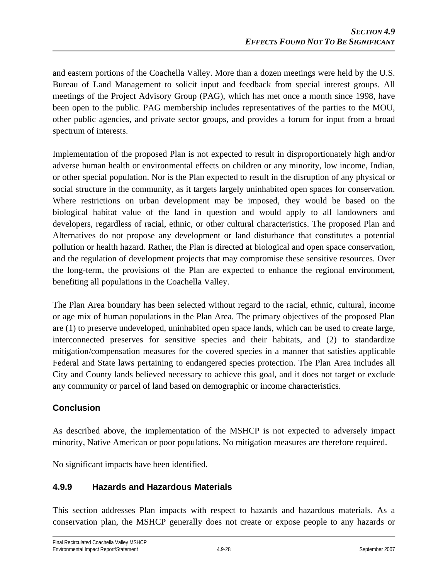and eastern portions of the Coachella Valley. More than a dozen meetings were held by the U.S. Bureau of Land Management to solicit input and feedback from special interest groups. All meetings of the Project Advisory Group (PAG), which has met once a month since 1998, have been open to the public. PAG membership includes representatives of the parties to the MOU, other public agencies, and private sector groups, and provides a forum for input from a broad spectrum of interests.

Implementation of the proposed Plan is not expected to result in disproportionately high and/or adverse human health or environmental effects on children or any minority, low income, Indian, or other special population. Nor is the Plan expected to result in the disruption of any physical or social structure in the community, as it targets largely uninhabited open spaces for conservation. Where restrictions on urban development may be imposed, they would be based on the biological habitat value of the land in question and would apply to all landowners and developers, regardless of racial, ethnic, or other cultural characteristics. The proposed Plan and Alternatives do not propose any development or land disturbance that constitutes a potential pollution or health hazard. Rather, the Plan is directed at biological and open space conservation, and the regulation of development projects that may compromise these sensitive resources. Over the long-term, the provisions of the Plan are expected to enhance the regional environment, benefiting all populations in the Coachella Valley.

The Plan Area boundary has been selected without regard to the racial, ethnic, cultural, income or age mix of human populations in the Plan Area. The primary objectives of the proposed Plan are (1) to preserve undeveloped, uninhabited open space lands, which can be used to create large, interconnected preserves for sensitive species and their habitats, and (2) to standardize mitigation/compensation measures for the covered species in a manner that satisfies applicable Federal and State laws pertaining to endangered species protection. The Plan Area includes all City and County lands believed necessary to achieve this goal, and it does not target or exclude any community or parcel of land based on demographic or income characteristics.

# **Conclusion**

As described above, the implementation of the MSHCP is not expected to adversely impact minority, Native American or poor populations. No mitigation measures are therefore required.

No significant impacts have been identified.

# **4.9.9 Hazards and Hazardous Materials**

This section addresses Plan impacts with respect to hazards and hazardous materials. As a conservation plan, the MSHCP generally does not create or expose people to any hazards or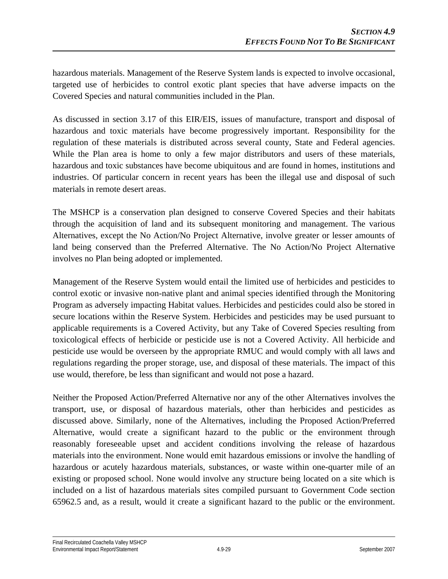hazardous materials. Management of the Reserve System lands is expected to involve occasional, targeted use of herbicides to control exotic plant species that have adverse impacts on the Covered Species and natural communities included in the Plan.

As discussed in section 3.17 of this EIR/EIS, issues of manufacture, transport and disposal of hazardous and toxic materials have become progressively important. Responsibility for the regulation of these materials is distributed across several county, State and Federal agencies. While the Plan area is home to only a few major distributors and users of these materials, hazardous and toxic substances have become ubiquitous and are found in homes, institutions and industries. Of particular concern in recent years has been the illegal use and disposal of such materials in remote desert areas.

The MSHCP is a conservation plan designed to conserve Covered Species and their habitats through the acquisition of land and its subsequent monitoring and management. The various Alternatives, except the No Action/No Project Alternative, involve greater or lesser amounts of land being conserved than the Preferred Alternative. The No Action/No Project Alternative involves no Plan being adopted or implemented.

Management of the Reserve System would entail the limited use of herbicides and pesticides to control exotic or invasive non-native plant and animal species identified through the Monitoring Program as adversely impacting Habitat values. Herbicides and pesticides could also be stored in secure locations within the Reserve System. Herbicides and pesticides may be used pursuant to applicable requirements is a Covered Activity, but any Take of Covered Species resulting from toxicological effects of herbicide or pesticide use is not a Covered Activity. All herbicide and pesticide use would be overseen by the appropriate RMUC and would comply with all laws and regulations regarding the proper storage, use, and disposal of these materials. The impact of this use would, therefore, be less than significant and would not pose a hazard.

Neither the Proposed Action/Preferred Alternative nor any of the other Alternatives involves the transport, use, or disposal of hazardous materials, other than herbicides and pesticides as discussed above. Similarly, none of the Alternatives, including the Proposed Action/Preferred Alternative, would create a significant hazard to the public or the environment through reasonably foreseeable upset and accident conditions involving the release of hazardous materials into the environment. None would emit hazardous emissions or involve the handling of hazardous or acutely hazardous materials, substances, or waste within one-quarter mile of an existing or proposed school. None would involve any structure being located on a site which is included on a list of hazardous materials sites compiled pursuant to Government Code section 65962.5 and, as a result, would it create a significant hazard to the public or the environment.